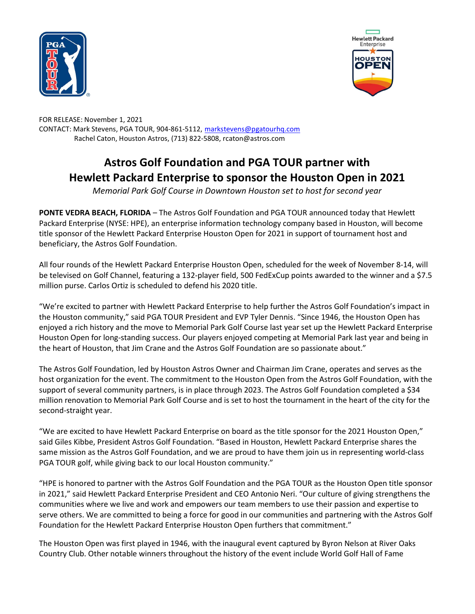



FOR RELEASE: November 1, 2021 CONTACT: Mark Stevens, PGA TOUR, 904-861-5112, markstevens@pgatourhq.com Rachel Caton, Houston Astros, (713) 822-5808, rcaton@astros.com

## Astros Golf Foundation and PGA TOUR partner with Hewlett Packard Enterprise to sponsor the Houston Open in 2021

Memorial Park Golf Course in Downtown Houston set to host for second year

PONTE VEDRA BEACH, FLORIDA – The Astros Golf Foundation and PGA TOUR announced today that Hewlett Packard Enterprise (NYSE: HPE), an enterprise information technology company based in Houston, will become title sponsor of the Hewlett Packard Enterprise Houston Open for 2021 in support of tournament host and beneficiary, the Astros Golf Foundation.

All four rounds of the Hewlett Packard Enterprise Houston Open, scheduled for the week of November 8-14, will be televised on Golf Channel, featuring a 132-player field, 500 FedExCup points awarded to the winner and a \$7.5 million purse. Carlos Ortiz is scheduled to defend his 2020 title.

"We're excited to partner with Hewlett Packard Enterprise to help further the Astros Golf Foundation's impact in the Houston community," said PGA TOUR President and EVP Tyler Dennis. "Since 1946, the Houston Open has enjoyed a rich history and the move to Memorial Park Golf Course last year set up the Hewlett Packard Enterprise Houston Open for long-standing success. Our players enjoyed competing at Memorial Park last year and being in the heart of Houston, that Jim Crane and the Astros Golf Foundation are so passionate about."

The Astros Golf Foundation, led by Houston Astros Owner and Chairman Jim Crane, operates and serves as the host organization for the event. The commitment to the Houston Open from the Astros Golf Foundation, with the support of several community partners, is in place through 2023. The Astros Golf Foundation completed a \$34 million renovation to Memorial Park Golf Course and is set to host the tournament in the heart of the city for the second-straight year.

"We are excited to have Hewlett Packard Enterprise on board as the title sponsor for the 2021 Houston Open," said Giles Kibbe, President Astros Golf Foundation. "Based in Houston, Hewlett Packard Enterprise shares the same mission as the Astros Golf Foundation, and we are proud to have them join us in representing world-class PGA TOUR golf, while giving back to our local Houston community."

"HPE is honored to partner with the Astros Golf Foundation and the PGA TOUR as the Houston Open title sponsor in 2021," said Hewlett Packard Enterprise President and CEO Antonio Neri. "Our culture of giving strengthens the communities where we live and work and empowers our team members to use their passion and expertise to serve others. We are committed to being a force for good in our communities and partnering with the Astros Golf Foundation for the Hewlett Packard Enterprise Houston Open furthers that commitment."

The Houston Open was first played in 1946, with the inaugural event captured by Byron Nelson at River Oaks Country Club. Other notable winners throughout the history of the event include World Golf Hall of Fame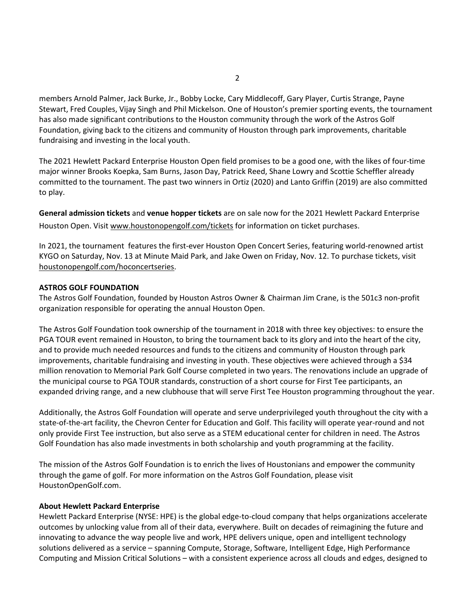members Arnold Palmer, Jack Burke, Jr., Bobby Locke, Cary Middlecoff, Gary Player, Curtis Strange, Payne Stewart, Fred Couples, Vijay Singh and Phil Mickelson. One of Houston's premier sporting events, the tournament has also made significant contributions to the Houston community through the work of the Astros Golf Foundation, giving back to the citizens and community of Houston through park improvements, charitable fundraising and investing in the local youth.

The 2021 Hewlett Packard Enterprise Houston Open field promises to be a good one, with the likes of four-time major winner Brooks Koepka, Sam Burns, Jason Day, Patrick Reed, Shane Lowry and Scottie Scheffler already committed to the tournament. The past two winners in Ortiz (2020) and Lanto Griffin (2019) are also committed to play.

General admission tickets and venue hopper tickets are on sale now for the 2021 Hewlett Packard Enterprise Houston Open. Visit www.houstonopengolf.com/tickets for information on ticket purchases.

In 2021, the tournament features the first-ever Houston Open Concert Series, featuring world-renowned artist KYGO on Saturday, Nov. 13 at Minute Maid Park, and Jake Owen on Friday, Nov. 12. To purchase tickets, visit houstonopengolf.com/hoconcertseries.

## ASTROS GOLF FOUNDATION

The Astros Golf Foundation, founded by Houston Astros Owner & Chairman Jim Crane, is the 501c3 non-profit organization responsible for operating the annual Houston Open.

The Astros Golf Foundation took ownership of the tournament in 2018 with three key objectives: to ensure the PGA TOUR event remained in Houston, to bring the tournament back to its glory and into the heart of the city, and to provide much needed resources and funds to the citizens and community of Houston through park improvements, charitable fundraising and investing in youth. These objectives were achieved through a \$34 million renovation to Memorial Park Golf Course completed in two years. The renovations include an upgrade of the municipal course to PGA TOUR standards, construction of a short course for First Tee participants, an expanded driving range, and a new clubhouse that will serve First Tee Houston programming throughout the year.

Additionally, the Astros Golf Foundation will operate and serve underprivileged youth throughout the city with a state-of-the-art facility, the Chevron Center for Education and Golf. This facility will operate year-round and not only provide First Tee instruction, but also serve as a STEM educational center for children in need. The Astros Golf Foundation has also made investments in both scholarship and youth programming at the facility.

The mission of the Astros Golf Foundation is to enrich the lives of Houstonians and empower the community through the game of golf. For more information on the Astros Golf Foundation, please visit HoustonOpenGolf.com.

## About Hewlett Packard Enterprise

Hewlett Packard Enterprise (NYSE: HPE) is the global edge-to-cloud company that helps organizations accelerate outcomes by unlocking value from all of their data, everywhere. Built on decades of reimagining the future and innovating to advance the way people live and work, HPE delivers unique, open and intelligent technology solutions delivered as a service – spanning Compute, Storage, Software, Intelligent Edge, High Performance Computing and Mission Critical Solutions – with a consistent experience across all clouds and edges, designed to